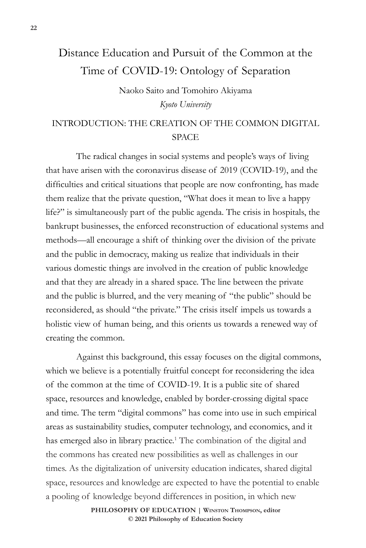# Distance Education and Pursuit of the Common at the Time of COVID-19: Ontology of Separation

Naoko Saito and Tomohiro Akiyama *Kyoto University*

# INTRODUCTION: THE CREATION OF THE COMMON DIGITAL **SPACE**

The radical changes in social systems and people's ways of living that have arisen with the coronavirus disease of 2019 (COVID-19), and the difficulties and critical situations that people are now confronting, has made them realize that the private question, "What does it mean to live a happy life?" is simultaneously part of the public agenda. The crisis in hospitals, the bankrupt businesses, the enforced reconstruction of educational systems and methods—all encourage a shift of thinking over the division of the private and the public in democracy, making us realize that individuals in their various domestic things are involved in the creation of public knowledge and that they are already in a shared space. The line between the private and the public is blurred, and the very meaning of "the public" should be reconsidered, as should "the private." The crisis itself impels us towards a holistic view of human being, and this orients us towards a renewed way of creating the common.

Against this background, this essay focuses on the digital commons, which we believe is a potentially fruitful concept for reconsidering the idea of the common at the time of COVID-19. It is a public site of shared space, resources and knowledge, enabled by border-crossing digital space and time. The term "digital commons" has come into use in such empirical areas as sustainability studies, computer technology, and economics, and it has emerged also in library practice.<sup>1</sup> The combination of the digital and the commons has created new possibilities as well as challenges in our times. As the digitalization of university education indicates, shared digital space, resources and knowledge are expected to have the potential to enable a pooling of knowledge beyond differences in position, in which new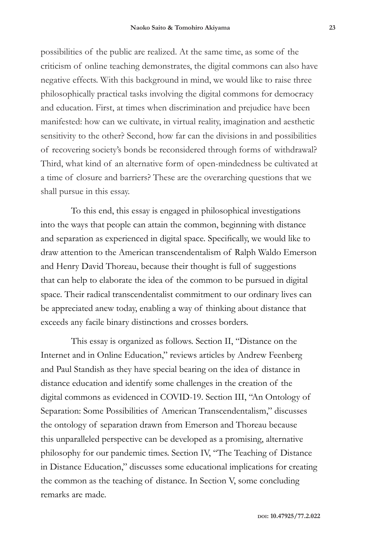possibilities of the public are realized. At the same time, as some of the criticism of online teaching demonstrates, the digital commons can also have negative effects. With this background in mind, we would like to raise three philosophically practical tasks involving the digital commons for democracy and education. First, at times when discrimination and prejudice have been manifested: how can we cultivate, in virtual reality, imagination and aesthetic sensitivity to the other? Second, how far can the divisions in and possibilities of recovering society's bonds be reconsidered through forms of withdrawal? Third, what kind of an alternative form of open-mindedness be cultivated at a time of closure and barriers? These are the overarching questions that we shall pursue in this essay.

To this end, this essay is engaged in philosophical investigations into the ways that people can attain the common, beginning with distance and separation as experienced in digital space. Specifically, we would like to draw attention to the American transcendentalism of Ralph Waldo Emerson and Henry David Thoreau, because their thought is full of suggestions that can help to elaborate the idea of the common to be pursued in digital space. Their radical transcendentalist commitment to our ordinary lives can be appreciated anew today, enabling a way of thinking about distance that exceeds any facile binary distinctions and crosses borders.

This essay is organized as follows. Section II, "Distance on the Internet and in Online Education," reviews articles by Andrew Feenberg and Paul Standish as they have special bearing on the idea of distance in distance education and identify some challenges in the creation of the digital commons as evidenced in COVID-19. Section III, "An Ontology of Separation: Some Possibilities of American Transcendentalism," discusses the ontology of separation drawn from Emerson and Thoreau because this unparalleled perspective can be developed as a promising, alternative philosophy for our pandemic times. Section IV, "The Teaching of Distance in Distance Education," discusses some educational implications for creating the common as the teaching of distance. In Section V, some concluding remarks are made.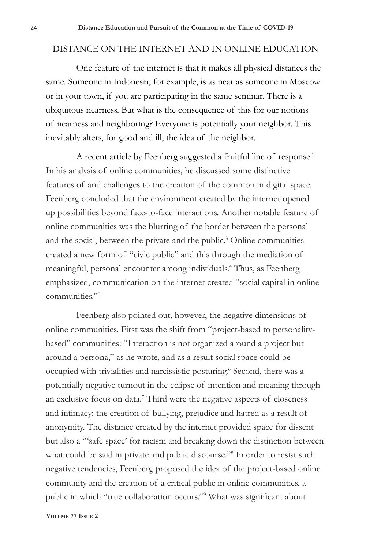#### DISTANCE ON THE INTERNET AND IN ONLINE EDUCATION

One feature of the internet is that it makes all physical distances the same. Someone in Indonesia, for example, is as near as someone in Moscow or in your town, if you are participating in the same seminar. There is a ubiquitous nearness. But what is the consequence of this for our notions of nearness and neighboring? Everyone is potentially your neighbor. This inevitably alters, for good and ill, the idea of the neighbor.

A recent article by Feenberg suggested a fruitful line of response.<sup>2</sup> In his analysis of online communities, he discussed some distinctive features of and challenges to the creation of the common in digital space. Feenberg concluded that the environment created by the internet opened up possibilities beyond face-to-face interactions. Another notable feature of online communities was the blurring of the border between the personal and the social, between the private and the public.<sup>3</sup> Online communities created a new form of "civic public" and this through the mediation of meaningful, personal encounter among individuals.4 Thus, as Feenberg emphasized, communication on the internet created "social capital in online communities."5

Feenberg also pointed out, however, the negative dimensions of online communities. First was the shift from "project-based to personalitybased" communities: "Interaction is not organized around a project but around a persona," as he wrote, and as a result social space could be occupied with trivialities and narcissistic posturing.<sup>6</sup> Second, there was a potentially negative turnout in the eclipse of intention and meaning through an exclusive focus on data.7 Third were the negative aspects of closeness and intimacy: the creation of bullying, prejudice and hatred as a result of anonymity. The distance created by the internet provided space for dissent but also a "'safe space' for racism and breaking down the distinction between what could be said in private and public discourse."<sup>8</sup> In order to resist such negative tendencies, Feenberg proposed the idea of the project-based online community and the creation of a critical public in online communities, a public in which "true collaboration occurs."9 What was significant about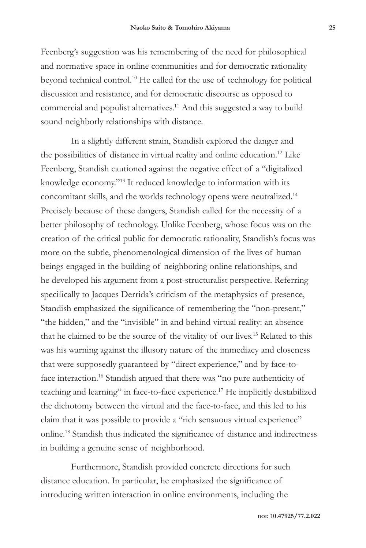Feenberg's suggestion was his remembering of the need for philosophical and normative space in online communities and for democratic rationality beyond technical control.10 He called for the use of technology for political discussion and resistance, and for democratic discourse as opposed to commercial and populist alternatives.11 And this suggested a way to build sound neighborly relationships with distance.

In a slightly different strain, Standish explored the danger and the possibilities of distance in virtual reality and online education.12 Like Feenberg, Standish cautioned against the negative effect of a "digitalized knowledge economy."13 It reduced knowledge to information with its concomitant skills, and the worlds technology opens were neutralized.14 Precisely because of these dangers, Standish called for the necessity of a better philosophy of technology. Unlike Feenberg, whose focus was on the creation of the critical public for democratic rationality, Standish's focus was more on the subtle, phenomenological dimension of the lives of human beings engaged in the building of neighboring online relationships, and he developed his argument from a post-structuralist perspective. Referring specifically to Jacques Derrida's criticism of the metaphysics of presence, Standish emphasized the significance of remembering the "non-present," "the hidden," and the "invisible" in and behind virtual reality: an absence that he claimed to be the source of the vitality of our lives.15 Related to this was his warning against the illusory nature of the immediacy and closeness that were supposedly guaranteed by "direct experience," and by face-toface interaction.<sup>16</sup> Standish argued that there was "no pure authenticity of teaching and learning" in face-to-face experience.17 He implicitly destabilized the dichotomy between the virtual and the face-to-face, and this led to his claim that it was possible to provide a "rich sensuous virtual experience" online.18 Standish thus indicated the significance of distance and indirectness in building a genuine sense of neighborhood.

Furthermore, Standish provided concrete directions for such distance education. In particular, he emphasized the significance of introducing written interaction in online environments, including the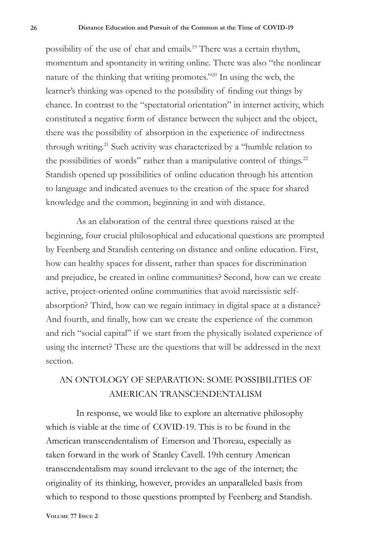possibility of the use of chat and emails.<sup>19</sup> There was a certain rhythm, momentum and spontaneity in writing online. There was also "the nonlinear nature of the thinking that writing promotes."20 In using the web, the learner's thinking was opened to the possibility of finding out things by chance. In contrast to the "spectatorial orientation" in internet activity, which constituted a negative form of distance between the subject and the object, there was the possibility of absorption in the experience of indirectness through writing.<sup>21</sup> Such activity was characterized by a "humble relation to the possibilities of words" rather than a manipulative control of things.<sup>22</sup> Standish opened up possibilities of online education through his attention to language and indicated avenues to the creation of the space for shared knowledge and the common, beginning in and with distance.

As an elaboration of the central three questions raised at the beginning, four crucial philosophical and educational questions are prompted by Feenberg and Standish centering on distance and online education. First, how can healthy spaces for dissent, rather than spaces for discrimination and prejudice, be created in online communities? Second, how can we create active, project-oriented online communities that avoid narcissistic selfabsorption? Third, how can we regain intimacy in digital space at a distance? And fourth, and finally, how can we create the experience of the common and rich "social capital" if we start from the physically isolated experience of using the internet? These are the questions that will be addressed in the next section.

### AN ONTOLOGY OF SEPARATION: SOME POSSIBILITIES OF AMERICAN TRANSCENDENTALISM

In response, we would like to explore an alternative philosophy which is viable at the time of COVID-19. This is to be found in the American transcendentalism of Emerson and Thoreau, especially as taken forward in the work of Stanley Cavell. 19th century American transcendentalism may sound irrelevant to the age of the internet; the originality of its thinking, however, provides an unparalleled basis from which to respond to those questions prompted by Feenberg and Standish.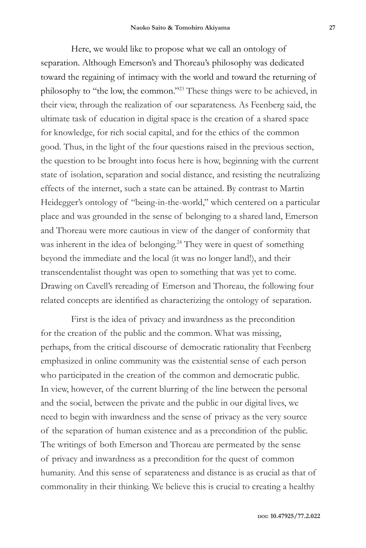Here, we would like to propose what we call an ontology of separation. Although Emerson's and Thoreau's philosophy was dedicated toward the regaining of intimacy with the world and toward the returning of philosophy to "the low, the common."23 These things were to be achieved, in their view, through the realization of our separateness. As Feenberg said, the ultimate task of education in digital space is the creation of a shared space for knowledge, for rich social capital, and for the ethics of the common good. Thus, in the light of the four questions raised in the previous section, the question to be brought into focus here is how, beginning with the current state of isolation, separation and social distance, and resisting the neutralizing effects of the internet, such a state can be attained. By contrast to Martin Heidegger's ontology of "being-in-the-world," which centered on a particular place and was grounded in the sense of belonging to a shared land, Emerson and Thoreau were more cautious in view of the danger of conformity that was inherent in the idea of belonging.<sup>24</sup> They were in quest of something beyond the immediate and the local (it was no longer land!), and their transcendentalist thought was open to something that was yet to come. Drawing on Cavell's rereading of Emerson and Thoreau, the following four related concepts are identified as characterizing the ontology of separation.

First is the idea of privacy and inwardness as the precondition for the creation of the public and the common. What was missing, perhaps, from the critical discourse of democratic rationality that Feenberg emphasized in online community was the existential sense of each person who participated in the creation of the common and democratic public. In view, however, of the current blurring of the line between the personal and the social, between the private and the public in our digital lives, we need to begin with inwardness and the sense of privacy as the very source of the separation of human existence and as a precondition of the public. The writings of both Emerson and Thoreau are permeated by the sense of privacy and inwardness as a precondition for the quest of common humanity. And this sense of separateness and distance is as crucial as that of commonality in their thinking. We believe this is crucial to creating a healthy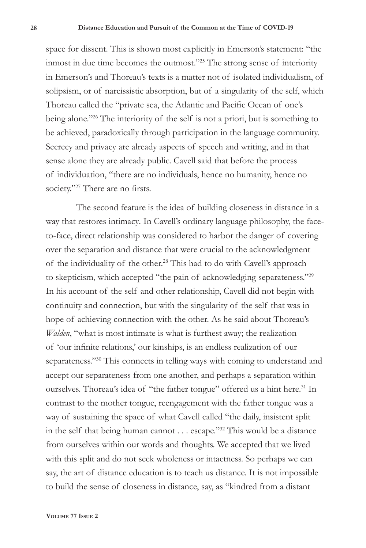space for dissent. This is shown most explicitly in Emerson's statement: "the inmost in due time becomes the outmost."25 The strong sense of interiority in Emerson's and Thoreau's texts is a matter not of isolated individualism, of solipsism, or of narcissistic absorption, but of a singularity of the self, which Thoreau called the "private sea, the Atlantic and Pacific Ocean of one's being alone."<sup>26</sup> The interiority of the self is not a priori, but is something to be achieved, paradoxically through participation in the language community. Secrecy and privacy are already aspects of speech and writing, and in that sense alone they are already public. Cavell said that before the process of individuation, "there are no individuals, hence no humanity, hence no society."<sup>27</sup> There are no firsts.

The second feature is the idea of building closeness in distance in a way that restores intimacy*.* In Cavell's ordinary language philosophy, the faceto-face, direct relationship was considered to harbor the danger of covering over the separation and distance that were crucial to the acknowledgment of the individuality of the other.<sup>28</sup> This had to do with Cavell's approach to skepticism, which accepted "the pain of acknowledging separateness."29 In his account of the self and other relationship, Cavell did not begin with continuity and connection, but with the singularity of the self that was in hope of achieving connection with the other. As he said about Thoreau's *Walden*, "what is most intimate is what is furthest away; the realization of 'our infinite relations,' our kinships, is an endless realization of our separateness."<sup>30</sup> This connects in telling ways with coming to understand and accept our separateness from one another, and perhaps a separation within ourselves. Thoreau's idea of "the father tongue" offered us a hint here.<sup>31</sup> In contrast to the mother tongue, reengagement with the father tongue was a way of sustaining the space of what Cavell called "the daily, insistent split in the self that being human cannot . . . escape."32 This would be a distance from ourselves within our words and thoughts. We accepted that we lived with this split and do not seek wholeness or intactness. So perhaps we can say, the art of distance education is to teach us distance. It is not impossible to build the sense of closeness in distance, say, as "kindred from a distant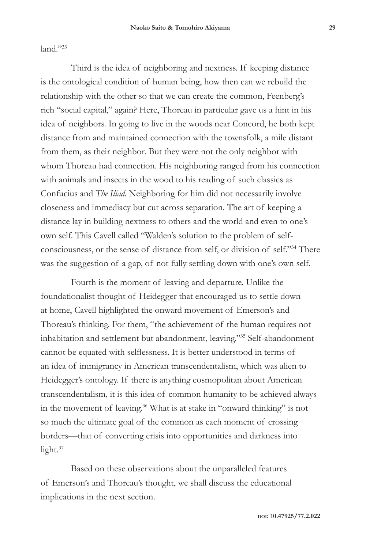land."33

Third is the idea of neighboring and nextness. If keeping distance is the ontological condition of human being, how then can we rebuild the relationship with the other so that we can create the common, Feenberg's rich "social capital," again? Here, Thoreau in particular gave us a hint in his idea of neighbors. In going to live in the woods near Concord, he both kept distance from and maintained connection with the townsfolk, a mile distant from them, as their neighbor. But they were not the only neighbor with whom Thoreau had connection. His neighboring ranged from his connection with animals and insects in the wood to his reading of such classics as Confucius and *The Iliad*. Neighboring for him did not necessarily involve closeness and immediacy but cut across separation. The art of keeping a distance lay in building nextness to others and the world and even to one's own self. This Cavell called "Walden's solution to the problem of selfconsciousness, or the sense of distance from self, or division of self."34 There was the suggestion of a gap, of not fully settling down with one's own self.

Fourth is the moment of leaving and departure. Unlike the foundationalist thought of Heidegger that encouraged us to settle down at home, Cavell highlighted the onward movement of Emerson's and Thoreau's thinking. For them, "the achievement of the human requires not inhabitation and settlement but abandonment, leaving."35 Self-abandonment cannot be equated with selflessness. It is better understood in terms of an idea of immigrancy in American transcendentalism, which was alien to Heidegger's ontology. If there is anything cosmopolitan about American transcendentalism, it is this idea of common humanity to be achieved always in the movement of leaving.36 What is at stake in "onward thinking" is not so much the ultimate goal of the common as each moment of crossing borders—that of converting crisis into opportunities and darkness into light. $37$ 

Based on these observations about the unparalleled features of Emerson's and Thoreau's thought, we shall discuss the educational implications in the next section.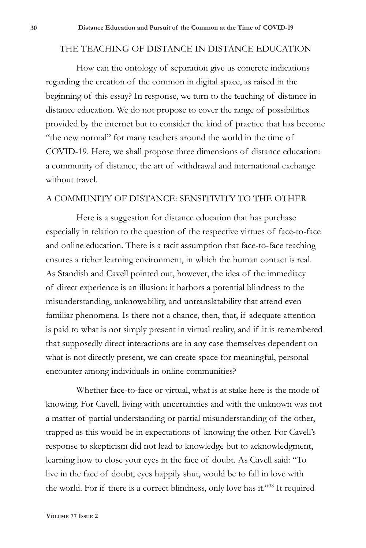#### THE TEACHING OF DISTANCE IN DISTANCE EDUCATION

How can the ontology of separation give us concrete indications regarding the creation of the common in digital space, as raised in the beginning of this essay? In response, we turn to the teaching of distance in distance education. We do not propose to cover the range of possibilities provided by the internet but to consider the kind of practice that has become "the new normal" for many teachers around the world in the time of COVID-19. Here, we shall propose three dimensions of distance education: a community of distance, the art of withdrawal and international exchange without travel.

#### A COMMUNITY OF DISTANCE: SENSITIVITY TO THE OTHER

Here is a suggestion for distance education that has purchase especially in relation to the question of the respective virtues of face-to-face and online education. There is a tacit assumption that face-to-face teaching ensures a richer learning environment, in which the human contact is real. As Standish and Cavell pointed out, however, the idea of the immediacy of direct experience is an illusion: it harbors a potential blindness to the misunderstanding, unknowability, and untranslatability that attend even familiar phenomena. Is there not a chance, then, that, if adequate attention is paid to what is not simply present in virtual reality, and if it is remembered that supposedly direct interactions are in any case themselves dependent on what is not directly present, we can create space for meaningful, personal encounter among individuals in online communities?

Whether face-to-face or virtual, what is at stake here is the mode of knowing. For Cavell, living with uncertainties and with the unknown was not a matter of partial understanding or partial misunderstanding of the other, trapped as this would be in expectations of knowing the other. For Cavell's response to skepticism did not lead to knowledge but to acknowledgment, learning how to close your eyes in the face of doubt. As Cavell said: "To live in the face of doubt, eyes happily shut, would be to fall in love with the world. For if there is a correct blindness, only love has it."38 It required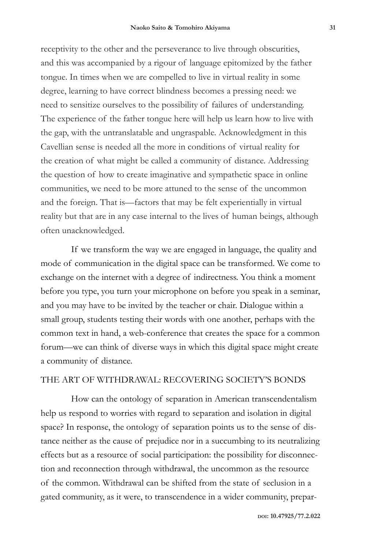receptivity to the other and the perseverance to live through obscurities, and this was accompanied by a rigour of language epitomized by the father tongue. In times when we are compelled to live in virtual reality in some degree, learning to have correct blindness becomes a pressing need: we need to sensitize ourselves to the possibility of failures of understanding. The experience of the father tongue here will help us learn how to live with the gap, with the untranslatable and ungraspable. Acknowledgment in this Cavellian sense is needed all the more in conditions of virtual reality for the creation of what might be called a community of distance. Addressing the question of how to create imaginative and sympathetic space in online communities, we need to be more attuned to the sense of the uncommon and the foreign. That is—factors that may be felt experientially in virtual reality but that are in any case internal to the lives of human beings, although often unacknowledged.

If we transform the way we are engaged in language, the quality and mode of communication in the digital space can be transformed. We come to exchange on the internet with a degree of indirectness. You think a moment before you type, you turn your microphone on before you speak in a seminar, and you may have to be invited by the teacher or chair. Dialogue within a small group, students testing their words with one another, perhaps with the common text in hand, a web-conference that creates the space for a common forum—we can think of diverse ways in which this digital space might create a community of distance.

#### THE ART OF WITHDRAWAL: RECOVERING SOCIETY'S BONDS

How can the ontology of separation in American transcendentalism help us respond to worries with regard to separation and isolation in digital space? In response, the ontology of separation points us to the sense of distance neither as the cause of prejudice nor in a succumbing to its neutralizing effects but as a resource of social participation: the possibility for disconnection and reconnection through withdrawal, the uncommon as the resource of the common. Withdrawal can be shifted from the state of seclusion in a gated community, as it were, to transcendence in a wider community, prepar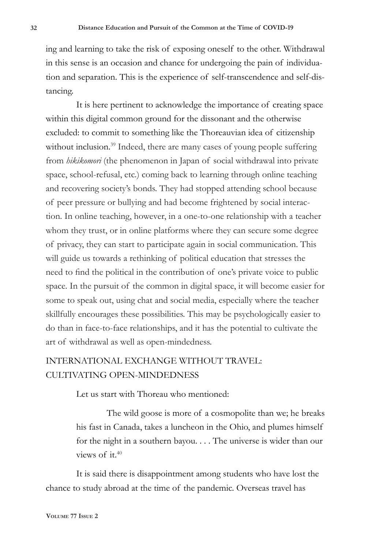ing and learning to take the risk of exposing oneself to the other. Withdrawal in this sense is an occasion and chance for undergoing the pain of individuation and separation. This is the experience of self-transcendence and self-distancing.

It is here pertinent to acknowledge the importance of creating space within this digital common ground for the dissonant and the otherwise excluded: to commit to something like the Thoreauvian idea of citizenship without inclusion.<sup>39</sup> Indeed, there are many cases of young people suffering from *hikikomori* (the phenomenon in Japan of social withdrawal into private space, school-refusal, etc.) coming back to learning through online teaching and recovering society's bonds. They had stopped attending school because of peer pressure or bullying and had become frightened by social interaction. In online teaching, however, in a one-to-one relationship with a teacher whom they trust, or in online platforms where they can secure some degree of privacy, they can start to participate again in social communication. This will guide us towards a rethinking of political education that stresses the need to find the political in the contribution of one's private voice to public space. In the pursuit of the common in digital space, it will become easier for some to speak out, using chat and social media, especially where the teacher skillfully encourages these possibilities. This may be psychologically easier to do than in face-to-face relationships, and it has the potential to cultivate the art of withdrawal as well as open-mindedness.

# INTERNATIONAL EXCHANGE WITHOUT TRAVEL: CULTIVATING OPEN-MINDEDNESS

Let us start with Thoreau who mentioned:

The wild goose is more of a cosmopolite than we; he breaks his fast in Canada, takes a luncheon in the Ohio, and plumes himself for the night in a southern bayou. . . . The universe is wider than our views of it.40

It is said there is disappointment among students who have lost the chance to study abroad at the time of the pandemic. Overseas travel has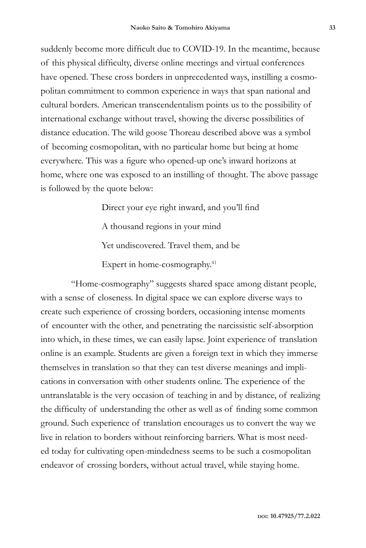suddenly become more difficult due to COVID-19. In the meantime, because of this physical difficulty, diverse online meetings and virtual conferences have opened. These cross borders in unprecedented ways, instilling a cosmopolitan commitment to common experience in ways that span national and cultural borders. American transcendentalism points us to the possibility of international exchange without travel, showing the diverse possibilities of distance education. The wild goose Thoreau described above was a symbol of becoming cosmopolitan, with no particular home but being at home everywhere. This was a figure who opened-up one's inward horizons at home, where one was exposed to an instilling of thought. The above passage is followed by the quote below:

> Direct your eye right inward, and you'll find A thousand regions in your mind Yet undiscovered. Travel them, and be Expert in home-cosmography.<sup>41</sup>

"Home-cosmography" suggests shared space among distant people, with a sense of closeness. In digital space we can explore diverse ways to create such experience of crossing borders, occasioning intense moments of encounter with the other, and penetrating the narcissistic self-absorption into which, in these times, we can easily lapse. Joint experience of translation online is an example. Students are given a foreign text in which they immerse themselves in translation so that they can test diverse meanings and implications in conversation with other students online. The experience of the untranslatable is the very occasion of teaching in and by distance, of realizing the difficulty of understanding the other as well as of finding some common ground. Such experience of translation encourages us to convert the way we live in relation to borders without reinforcing barriers. What is most needed today for cultivating open-mindedness seems to be such a cosmopolitan endeavor of crossing borders, without actual travel, while staying home.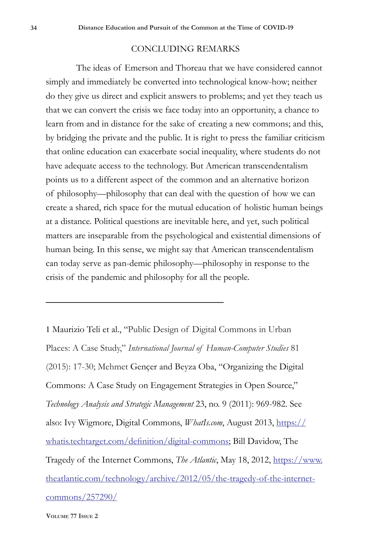#### CONCLUDING REMARKS

The ideas of Emerson and Thoreau that we have considered cannot simply and immediately be converted into technological know-how; neither do they give us direct and explicit answers to problems; and yet they teach us that we can convert the crisis we face today into an opportunity, a chance to learn from and in distance for the sake of creating a new commons; and this, by bridging the private and the public. It is right to press the familiar criticism that online education can exacerbate social inequality, where students do not have adequate access to the technology. But American transcendentalism points us to a different aspect of the common and an alternative horizon of philosophy—philosophy that can deal with the question of how we can create a shared, rich space for the mutual education of holistic human beings at a distance. Political questions are inevitable here, and yet, such political matters are inseparable from the psychological and existential dimensions of human being. In this sense, we might say that American transcendentalism can today serve as pan-demic philosophy—philosophy in response to the crisis of the pandemic and philosophy for all the people.

1 Maurizio Teli et al., "Public Design of Digital Commons in Urban Places: A Case Study," *International Journal of Human-Computer Studies* 81 (2015): 17-30; Mehmet Gençer and Beyza Oba, "Organizing the Digital Commons: A Case Study on Engagement Strategies in Open Source," *Technology Analysis and Strategic Management* 23, no. 9 (2011): 969-982. See also: Ivy Wigmore, Digital Commons, *WhatIs.com*, August 2013, https:// whatis.techtarget.com/definition/digital-commons; Bill Davidow, The Tragedy of the Internet Commons, *The Atlantic*, May 18, 2012, https://www. theatlantic.com/technology/archive/2012/05/the-tragedy-of-the-internetcommons/257290/

**Volume 77 Issue 2**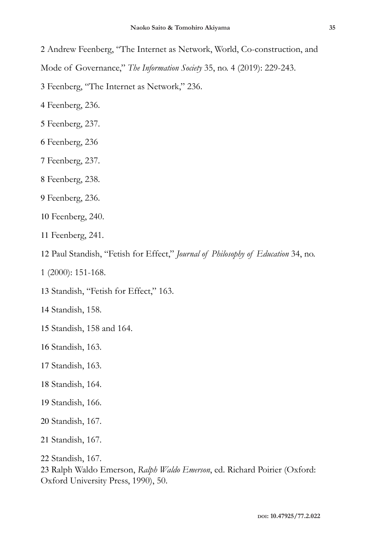Andrew Feenberg, "The Internet as Network, World, Co-construction, and Mode of Governance," *The Information Society* 35, no. 4 (2019): 229-243.

Feenberg, "The Internet as Network," 236.

Feenberg, 236.

Feenberg, 237.

Feenberg, 236

Feenberg, 237.

Feenberg, 238.

Feenberg, 236.

Feenberg, 240.

Feenberg, 241.

Paul Standish, "Fetish for Effect," *Journal of Philosophy of Education* 34, no.

1 (2000): 151-168.

Standish, "Fetish for Effect," 163.

Standish, 158.

Standish, 158 and 164.

Standish, 163.

Standish, 163.

Standish, 164.

Standish, 166.

Standish, 167.

Standish, 167.

Standish, 167.

 Ralph Waldo Emerson, *Ralph Waldo Emerson*, ed. Richard Poirier (Oxford: Oxford University Press, 1990), 50.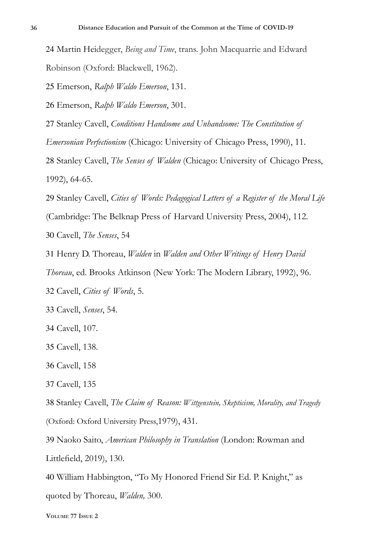Martin Heidegger, *Being and Time*, trans. John Macquarrie and Edward Robinson (Oxford: Blackwell, 1962).

Emerson, *Ralph Waldo Emerson*, 131.

Emerson, *Ralph Waldo Emerson*, 301.

Stanley Cavell, *Conditions Handsome and Unhandsome: The Constitution of* 

*Emersonian Perfectionism* (Chicago: University of Chicago Press, 1990), 11.

 Stanley Cavell, *The Senses of Walden* (Chicago: University of Chicago Press, 1992), 64-65.

 Stanley Cavell, *Cities of Words: Pedagogical Letters of a Register of the Moral Life* (Cambridge: The Belknap Press of Harvard University Press, 2004), 112. Cavell, *The Senses*, 54

Henry D. Thoreau, *Walden* in *Walden and Other Writings of Henry David* 

*Thoreau*, ed. Brooks Atkinson (New York: The Modern Library, 1992), 96.

Cavell, *Cities of Words*, 5.

Cavell, *Senses*, 54.

Cavell, 107.

Cavell, 138.

Cavell, 158

Cavell, 135

Stanley Cavell, *The Claim of Reason: Wittgenstein, Skepticism, Morality, and Tragedy* 

(Oxford: Oxford University Press,1979), 431.

 Naoko Saito, *American Philosophy in Translation* (London: Rowman and Littlefield, 2019), 130.

 William Habbington, "To My Honored Friend Sir Ed. P. Knight," as quoted by Thoreau, *Walden,* 300.